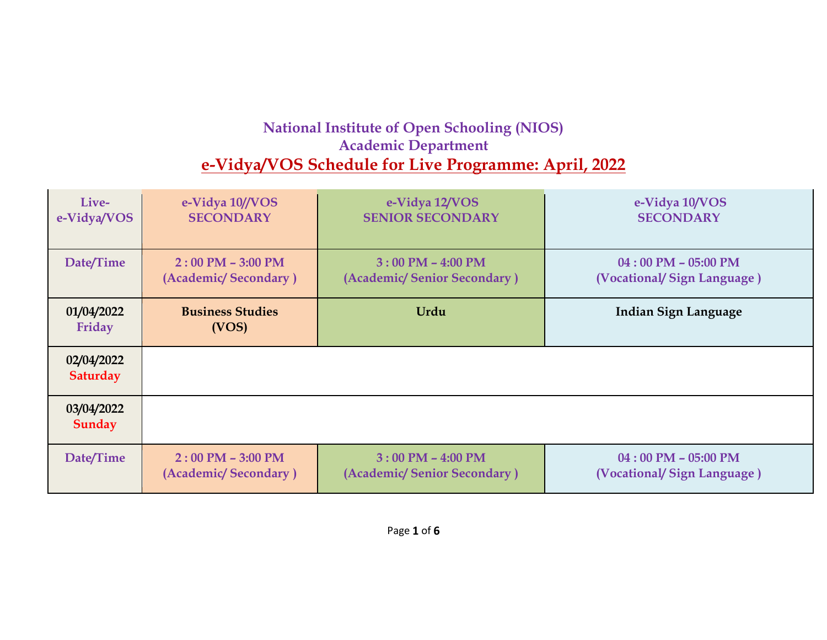## **National Institute of Open Schooling (NIOS) Academic Department e-Vidya/VOS Schedule for Live Programme: April, 2022**

| Live-                  | e-Vidya 10//VOS                  | e-Vidya 12/VOS              | e-Vidya 10/VOS              |
|------------------------|----------------------------------|-----------------------------|-----------------------------|
| e-Vidya/VOS            | <b>SECONDARY</b>                 | <b>SENIOR SECONDARY</b>     | <b>SECONDARY</b>            |
| Date/Time              | $2:00$ PM $-$ 3:00 PM            | $3:00$ PM $-$ 4:00 PM       | $04:00$ PM $- 05:00$ PM     |
|                        | (Academic/Secondary)             | (Academic/Senior Secondary) | (Vocational/Sign Language)  |
| 01/04/2022<br>Friday   | <b>Business Studies</b><br>(VOS) | Urdu                        | <b>Indian Sign Language</b> |
| 02/04/2022<br>Saturday |                                  |                             |                             |
| 03/04/2022<br>Sunday   |                                  |                             |                             |
| Date/Time              | $2:00$ PM $-$ 3:00 PM            | $3:00$ PM $-$ 4:00 PM       | $04:00$ PM $- 05:00$ PM     |
|                        | (Academic/Secondary)             | (Academic/Senior Secondary) | (Vocational/Sign Language)  |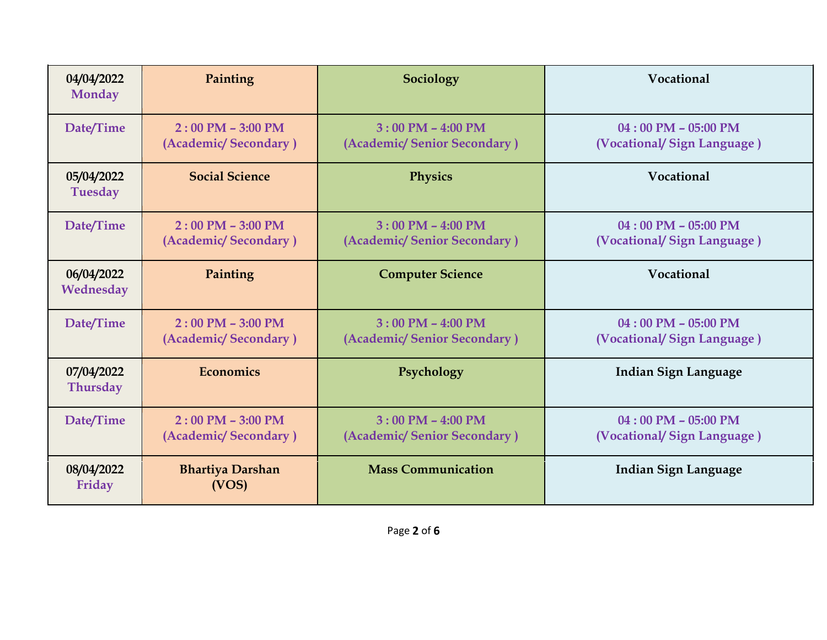| 04/04/2022<br><b>Monday</b>   | Painting                                                    | Sociology                                            | Vocational                                            |
|-------------------------------|-------------------------------------------------------------|------------------------------------------------------|-------------------------------------------------------|
| Date/Time                     | $2:00$ PM $-3:00$ PM<br>(Academic/Secondary)                | $3:00$ PM $-$ 4:00 PM<br>(Academic/Senior Secondary) | $04:00$ PM $-$ 05:00 PM<br>(Vocational/Sign Language) |
| 05/04/2022<br><b>Tuesday</b>  | <b>Social Science</b>                                       | <b>Physics</b>                                       | Vocational                                            |
| Date/Time                     | $2:00$ PM $-3:00$ PM<br>(Academic/Secondary)                | $3:00$ PM $-$ 4:00 PM<br>(Academic/Senior Secondary) | $04:00$ PM $- 05:00$ PM<br>(Vocational/Sign Language) |
| 06/04/2022<br>Wednesday       | Painting                                                    | <b>Computer Science</b>                              | Vocational                                            |
| Date/Time                     | $2:00$ PM $-3:00$ PM<br>(Academic/Secondary)                | $3:00$ PM $-$ 4:00 PM<br>(Academic/Senior Secondary) | $04:00$ PM - 05:00 PM<br>(Vocational/Sign Language)   |
| 07/04/2022<br><b>Thursday</b> | <b>Economics</b>                                            | Psychology                                           | <b>Indian Sign Language</b>                           |
| Date/Time                     | $2:00 \text{ PM} - 3:00 \text{ PM}$<br>(Academic/Secondary) | $3:00$ PM $-$ 4:00 PM<br>(Academic/Senior Secondary) | $04:00$ PM $-$ 05:00 PM<br>(Vocational/Sign Language) |
| 08/04/2022<br>Friday          | <b>Bhartiya Darshan</b><br>(VOS)                            | <b>Mass Communication</b>                            | <b>Indian Sign Language</b>                           |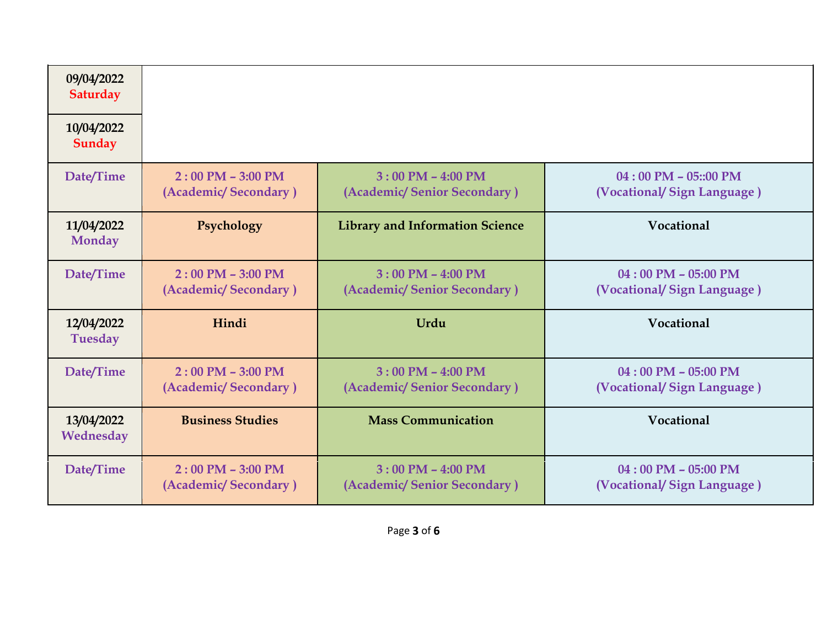| 09/04/2022<br>Saturday       |                                               |                                                      |                                                        |
|------------------------------|-----------------------------------------------|------------------------------------------------------|--------------------------------------------------------|
| 10/04/2022<br>Sunday         |                                               |                                                      |                                                        |
| Date/Time                    | $2:00$ PM $- 3:00$ PM<br>(Academic/Secondary) | $3:00$ PM $-$ 4:00 PM<br>(Academic/Senior Secondary) | $04:00$ PM $- 05::00$ PM<br>(Vocational/Sign Language) |
| 11/04/2022<br><b>Monday</b>  | Psychology                                    | <b>Library and Information Science</b>               | Vocational                                             |
| Date/Time                    | $2:00$ PM $-$ 3:00 PM<br>(Academic/Secondary) | $3:00$ PM - 4:00 PM<br>(Academic/Senior Secondary)   | $04:00$ PM - 05:00 PM<br>(Vocational/Sign Language)    |
| 12/04/2022<br><b>Tuesday</b> | Hindi                                         | Urdu                                                 | Vocational                                             |
| Date/Time                    | $2:00$ PM $- 3:00$ PM<br>(Academic/Secondary) | $3:00$ PM $-$ 4:00 PM<br>(Academic/Senior Secondary) | $04:00$ PM - 05:00 PM<br>(Vocational/Sign Language)    |
| 13/04/2022<br>Wednesday      | <b>Business Studies</b>                       | <b>Mass Communication</b>                            | Vocational                                             |
| Date/Time                    | $2:00$ PM $- 3:00$ PM<br>(Academic/Secondary) | $3:00$ PM $-$ 4:00 PM<br>(Academic/Senior Secondary) | $04:00$ PM $- 05:00$ PM<br>(Vocational/Sign Language)  |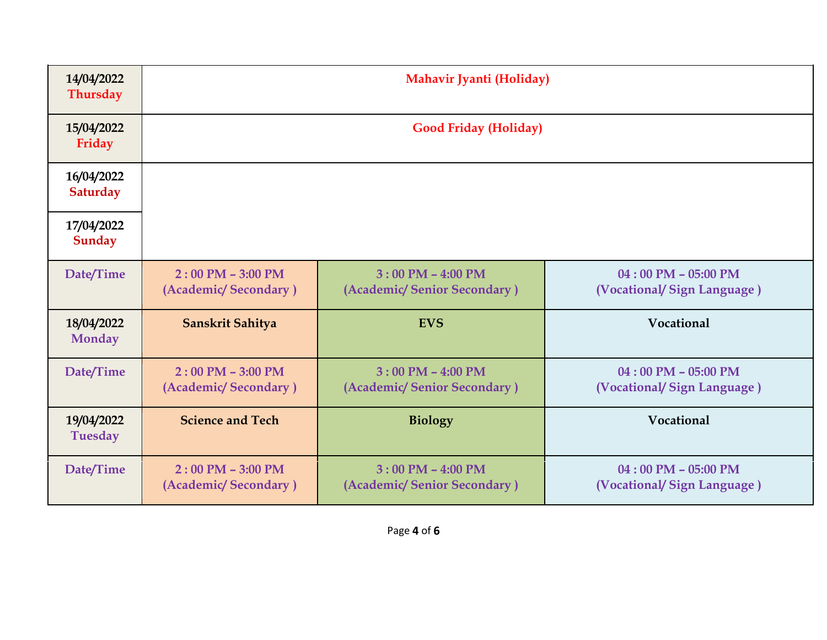| 14/04/2022<br><b>Thursday</b> | Mahavir Jyanti (Holiday)                      |                                                      |                                                       |
|-------------------------------|-----------------------------------------------|------------------------------------------------------|-------------------------------------------------------|
| 15/04/2022<br>Friday          | <b>Good Friday (Holiday)</b>                  |                                                      |                                                       |
| 16/04/2022<br><b>Saturday</b> |                                               |                                                      |                                                       |
| 17/04/2022<br>Sunday          |                                               |                                                      |                                                       |
| Date/Time                     | $2:00$ PM $-$ 3:00 PM<br>(Academic/Secondary) | $3:00$ PM $-$ 4:00 PM<br>(Academic/Senior Secondary) | $04:00$ PM - 05:00 PM<br>(Vocational/Sign Language)   |
| 18/04/2022<br><b>Monday</b>   | Sanskrit Sahitya                              | <b>EVS</b>                                           | Vocational                                            |
| Date/Time                     | $2:00$ PM $-$ 3:00 PM<br>(Academic/Secondary) | $3:00$ PM $-$ 4:00 PM<br>(Academic/Senior Secondary) | $04:00$ PM - 05:00 PM<br>(Vocational/Sign Language)   |
| 19/04/2022<br><b>Tuesday</b>  | <b>Science and Tech</b>                       | <b>Biology</b>                                       | Vocational                                            |
| Date/Time                     | $2:00$ PM $-3:00$ PM<br>(Academic/Secondary)  | $3:00$ PM $-$ 4:00 PM<br>(Academic/Senior Secondary) | $04:00$ PM $- 05:00$ PM<br>(Vocational/Sign Language) |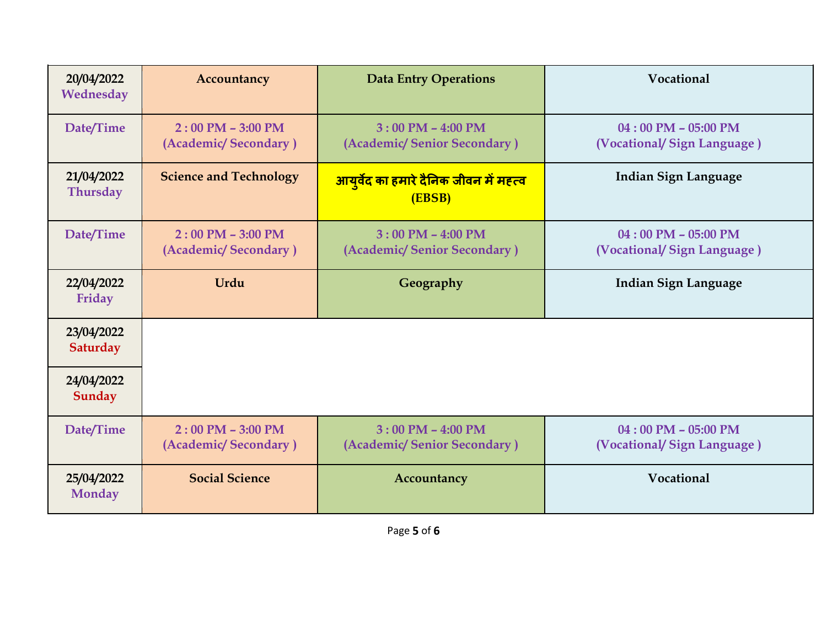| 20/04/2022<br>Wednesday       | Accountancy                                   | <b>Data Entry Operations</b>                            | Vocational                                            |
|-------------------------------|-----------------------------------------------|---------------------------------------------------------|-------------------------------------------------------|
| Date/Time                     | $2:00$ PM $-$ 3:00 PM<br>(Academic/Secondary) | $3:00$ PM $-$ 4:00 PM<br>(Academic/Senior Secondary)    | $04:00$ PM $- 05:00$ PM<br>(Vocational/Sign Language) |
| 21/04/2022<br><b>Thursday</b> | <b>Science and Technology</b>                 | <u>आयुर्वेद का हमारे दैनिक जीवन में महत्व</u><br>(EBSB) | <b>Indian Sign Language</b>                           |
| Date/Time                     | $2:00$ PM $-3:00$ PM<br>(Academic/Secondary)  | $3:00$ PM $-$ 4:00 PM<br>(Academic/Senior Secondary)    | $04:00$ PM $- 05:00$ PM<br>(Vocational/Sign Language) |
| 22/04/2022<br>Friday          | Urdu                                          | Geography                                               | <b>Indian Sign Language</b>                           |
| 23/04/2022<br><b>Saturday</b> |                                               |                                                         |                                                       |
| 24/04/2022<br>Sunday          |                                               |                                                         |                                                       |
| Date/Time                     | $2:00$ PM $-$ 3:00 PM<br>(Academic/Secondary) | $3:00$ PM $-$ 4:00 PM<br>(Academic/Senior Secondary)    | $04:00$ PM $- 05:00$ PM<br>(Vocational/Sign Language) |
| 25/04/2022<br><b>Monday</b>   | <b>Social Science</b>                         | Accountancy                                             | Vocational                                            |